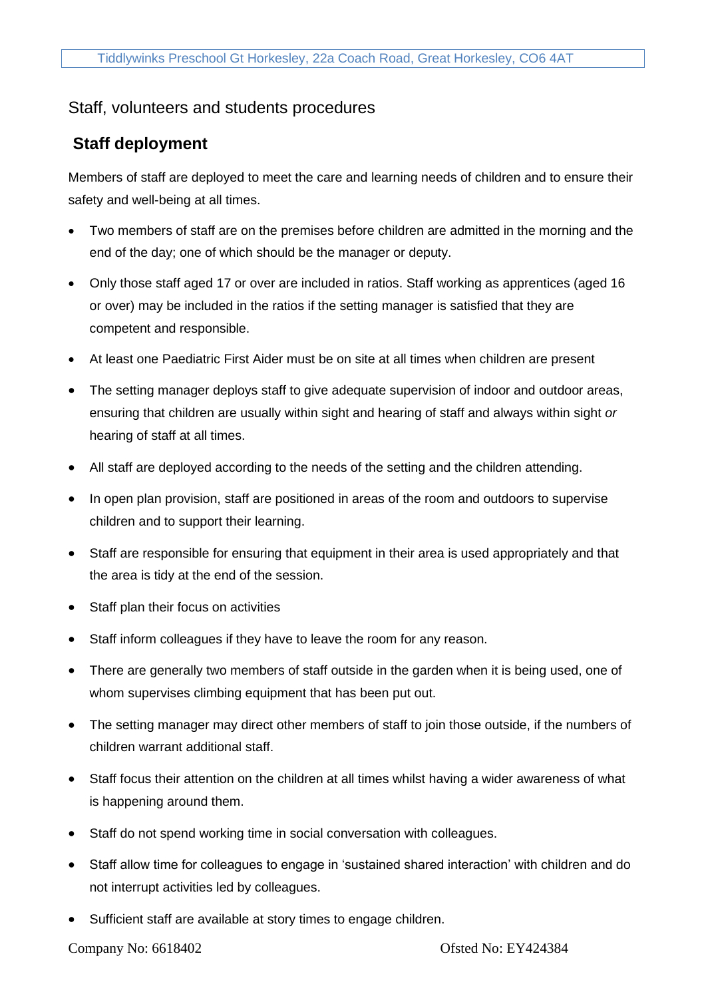## Staff, volunteers and students procedures

## **Staff deployment**

Members of staff are deployed to meet the care and learning needs of children and to ensure their safety and well-being at all times.

- Two members of staff are on the premises before children are admitted in the morning and the end of the day; one of which should be the manager or deputy.
- Only those staff aged 17 or over are included in ratios. Staff working as apprentices (aged 16 or over) may be included in the ratios if the setting manager is satisfied that they are competent and responsible.
- At least one Paediatric First Aider must be on site at all times when children are present
- The setting manager deploys staff to give adequate supervision of indoor and outdoor areas, ensuring that children are usually within sight and hearing of staff and always within sight *or* hearing of staff at all times.
- All staff are deployed according to the needs of the setting and the children attending.
- In open plan provision, staff are positioned in areas of the room and outdoors to supervise children and to support their learning.
- Staff are responsible for ensuring that equipment in their area is used appropriately and that the area is tidy at the end of the session.
- Staff plan their focus on activities
- Staff inform colleagues if they have to leave the room for any reason.
- There are generally two members of staff outside in the garden when it is being used, one of whom supervises climbing equipment that has been put out.
- The setting manager may direct other members of staff to join those outside, if the numbers of children warrant additional staff.
- Staff focus their attention on the children at all times whilst having a wider awareness of what is happening around them.
- Staff do not spend working time in social conversation with colleagues.
- Staff allow time for colleagues to engage in 'sustained shared interaction' with children and do not interrupt activities led by colleagues.
- Sufficient staff are available at story times to engage children.

Company No: 6618402 Ofsted No: EY424384